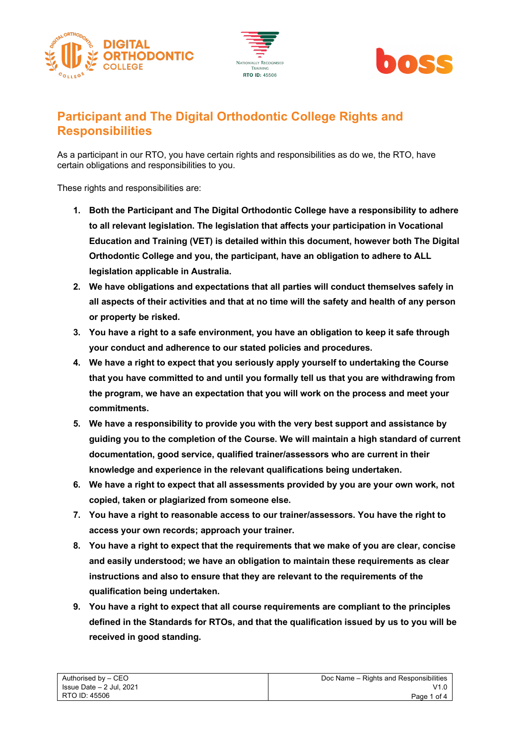





## **Participant and The Digital Orthodontic College Rights and Responsibilities**

As a participant in our RTO, you have certain rights and responsibilities as do we, the RTO, have certain obligations and responsibilities to you.

These rights and responsibilities are:

- **1. Both the Participant and The Digital Orthodontic College have a responsibility to adhere to all relevant legislation. The legislation that affects your participation in Vocational Education and Training (VET) is detailed within this document, however both The Digital Orthodontic College and you, the participant, have an obligation to adhere to ALL legislation applicable in Australia.**
- **2. We have obligations and expectations that all parties will conduct themselves safely in all aspects of their activities and that at no time will the safety and health of any person or property be risked.**
- **3. You have a right to a safe environment, you have an obligation to keep it safe through your conduct and adherence to our stated policies and procedures.**
- **4. We have a right to expect that you seriously apply yourself to undertaking the Course that you have committed to and until you formally tell us that you are withdrawing from the program, we have an expectation that you will work on the process and meet your commitments.**
- **5. We have a responsibility to provide you with the very best support and assistance by guiding you to the completion of the Course. We will maintain a high standard of current documentation, good service, qualified trainer/assessors who are current in their knowledge and experience in the relevant qualifications being undertaken.**
- **6. We have a right to expect that all assessments provided by you are your own work, not copied, taken or plagiarized from someone else.**
- **7. You have a right to reasonable access to our trainer/assessors. You have the right to access your own records; approach your trainer.**
- **8. You have a right to expect that the requirements that we make of you are clear, concise and easily understood; we have an obligation to maintain these requirements as clear instructions and also to ensure that they are relevant to the requirements of the qualification being undertaken.**
- **9. You have a right to expect that all course requirements are compliant to the principles defined in the Standards for RTOs, and that the qualification issued by us to you will be received in good standing.**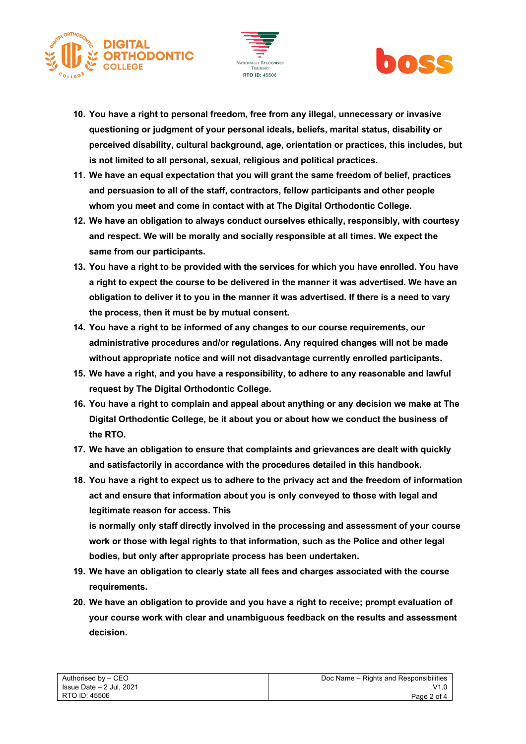





- **10. You have a right to personal freedom, free from any illegal, unnecessary or invasive questioning or judgment of your personal ideals, beliefs, marital status, disability or perceived disability, cultural background, age, orientation or practices, this includes, but is not limited to all personal, sexual, religious and political practices.**
- **11. We have an equal expectation that you will grant the same freedom of belief, practices and persuasion to all of the staff, contractors, fellow participants and other people whom you meet and come in contact with at The Digital Orthodontic College.**
- **12. We have an obligation to always conduct ourselves ethically, responsibly, with courtesy and respect. We will be morally and socially responsible at all times. We expect the same from our participants.**
- **13. You have a right to be provided with the services for which you have enrolled. You have a right to expect the course to be delivered in the manner it was advertised. We have an obligation to deliver it to you in the manner it was advertised. If there is a need to vary the process, then it must be by mutual consent.**
- **14. You have a right to be informed of any changes to our course requirements, our administrative procedures and/or regulations. Any required changes will not be made without appropriate notice and will not disadvantage currently enrolled participants.**
- **15. We have a right, and you have a responsibility, to adhere to any reasonable and lawful request by The Digital Orthodontic College.**
- **16. You have a right to complain and appeal about anything or any decision we make at The Digital Orthodontic College, be it about you or about how we conduct the business of the RTO.**
- **17. We have an obligation to ensure that complaints and grievances are dealt with quickly and satisfactorily in accordance with the procedures detailed in this handbook.**
- **18. You have a right to expect us to adhere to the privacy act and the freedom of information act and ensure that information about you is only conveyed to those with legal and legitimate reason for access. This**

**is normally only staff directly involved in the processing and assessment of your course work or those with legal rights to that information, such as the Police and other legal bodies, but only after appropriate process has been undertaken.** 

- **19. We have an obligation to clearly state all fees and charges associated with the course requirements.**
- **20. We have an obligation to provide and you have a right to receive; prompt evaluation of your course work with clear and unambiguous feedback on the results and assessment decision.**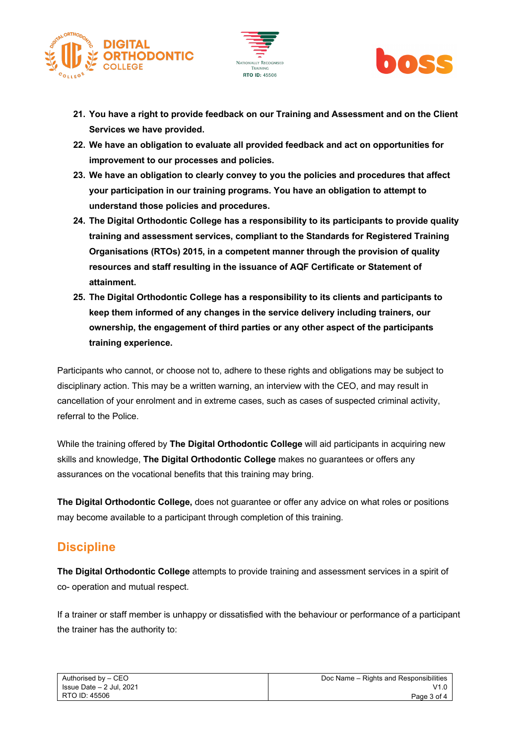





- **21. You have a right to provide feedback on our Training and Assessment and on the Client Services we have provided.**
- **22. We have an obligation to evaluate all provided feedback and act on opportunities for improvement to our processes and policies.**
- **23. We have an obligation to clearly convey to you the policies and procedures that affect your participation in our training programs. You have an obligation to attempt to understand those policies and procedures.**
- **24. The Digital Orthodontic College has a responsibility to its participants to provide quality training and assessment services, compliant to the Standards for Registered Training Organisations (RTOs) 2015, in a competent manner through the provision of quality resources and staff resulting in the issuance of AQF Certificate or Statement of attainment.**
- **25. The Digital Orthodontic College has a responsibility to its clients and participants to keep them informed of any changes in the service delivery including trainers, our ownership, the engagement of third parties or any other aspect of the participants training experience.**

Participants who cannot, or choose not to, adhere to these rights and obligations may be subject to disciplinary action. This may be a written warning, an interview with the CEO, and may result in cancellation of your enrolment and in extreme cases, such as cases of suspected criminal activity, referral to the Police.

While the training offered by **The Digital Orthodontic College** will aid participants in acquiring new skills and knowledge, **The Digital Orthodontic College** makes no guarantees or offers any assurances on the vocational benefits that this training may bring.

**The Digital Orthodontic College,** does not guarantee or offer any advice on what roles or positions may become available to a participant through completion of this training.

## **Discipline**

**The Digital Orthodontic College** attempts to provide training and assessment services in a spirit of co- operation and mutual respect.

If a trainer or staff member is unhappy or dissatisfied with the behaviour or performance of a participant the trainer has the authority to: